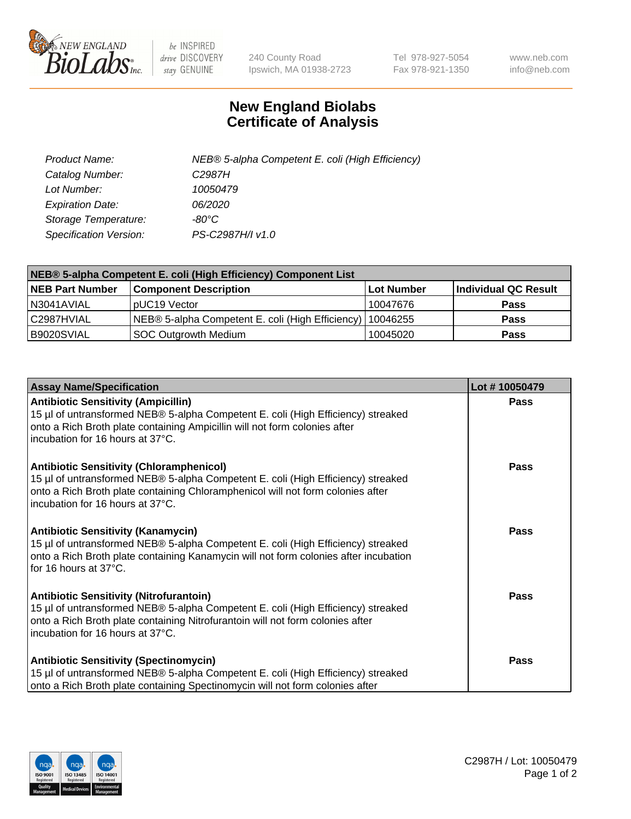

 $be$  INSPIRED drive DISCOVERY stay GENUINE

240 County Road Ipswich, MA 01938-2723 Tel 978-927-5054 Fax 978-921-1350 www.neb.com info@neb.com

## **New England Biolabs Certificate of Analysis**

| Product Name:           | NEB® 5-alpha Competent E. coli (High Efficiency) |
|-------------------------|--------------------------------------------------|
| Catalog Number:         | C <sub>2987</sub> H                              |
| Lot Number:             | 10050479                                         |
| <b>Expiration Date:</b> | <i>06/2020</i>                                   |
| Storage Temperature:    | -80°C                                            |
| Specification Version:  | PS-C2987H/I v1.0                                 |

| NEB® 5-alpha Competent E. coli (High Efficiency) Component List |                                                  |                   |                      |  |
|-----------------------------------------------------------------|--------------------------------------------------|-------------------|----------------------|--|
| <b>NEB Part Number</b>                                          | <b>Component Description</b>                     | <b>Lot Number</b> | Individual QC Result |  |
| N3041AVIAL                                                      | pUC19 Vector                                     | 10047676          | <b>Pass</b>          |  |
| C2987HVIAL                                                      | NEB® 5-alpha Competent E. coli (High Efficiency) | 10046255          | <b>Pass</b>          |  |
| B9020SVIAL                                                      | <b>SOC Outgrowth Medium</b>                      | 10045020          | <b>Pass</b>          |  |

| <b>Assay Name/Specification</b>                                                                                                                                                                                                                            | Lot #10050479 |
|------------------------------------------------------------------------------------------------------------------------------------------------------------------------------------------------------------------------------------------------------------|---------------|
| <b>Antibiotic Sensitivity (Ampicillin)</b><br>15 µl of untransformed NEB® 5-alpha Competent E. coli (High Efficiency) streaked<br>onto a Rich Broth plate containing Ampicillin will not form colonies after<br>incubation for 16 hours at 37°C.           | <b>Pass</b>   |
| <b>Antibiotic Sensitivity (Chloramphenicol)</b><br>15 µl of untransformed NEB® 5-alpha Competent E. coli (High Efficiency) streaked<br>onto a Rich Broth plate containing Chloramphenicol will not form colonies after<br>incubation for 16 hours at 37°C. | Pass          |
| Antibiotic Sensitivity (Kanamycin)<br>15 µl of untransformed NEB® 5-alpha Competent E. coli (High Efficiency) streaked<br>onto a Rich Broth plate containing Kanamycin will not form colonies after incubation<br>for 16 hours at 37°C.                    | Pass          |
| <b>Antibiotic Sensitivity (Nitrofurantoin)</b><br>15 µl of untransformed NEB® 5-alpha Competent E. coli (High Efficiency) streaked<br>onto a Rich Broth plate containing Nitrofurantoin will not form colonies after<br>incubation for 16 hours at 37°C.   | <b>Pass</b>   |
| <b>Antibiotic Sensitivity (Spectinomycin)</b><br>15 µl of untransformed NEB® 5-alpha Competent E. coli (High Efficiency) streaked<br>onto a Rich Broth plate containing Spectinomycin will not form colonies after                                         | Pass          |